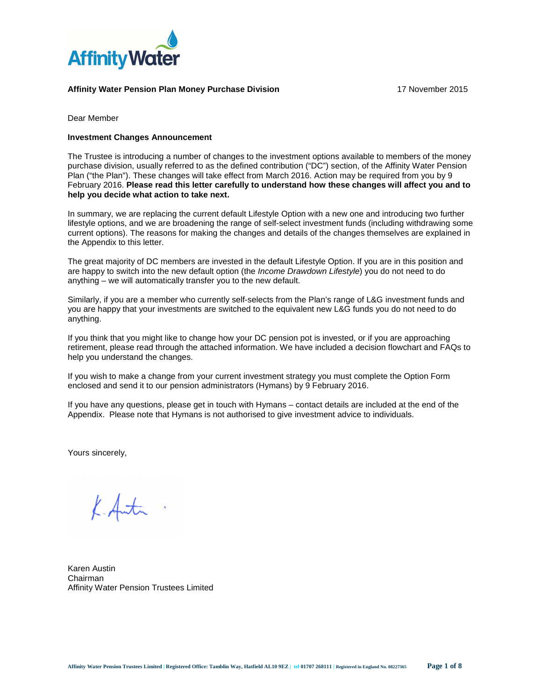

## **Affinity Water Pension Plan Money Purchase Division** 17 November 2015

Dear Member

#### **Investment Changes Announcement**

The Trustee is introducing a number of changes to the investment options available to members of the money purchase division, usually referred to as the defined contribution ("DC") section, of the Affinity Water Pension Plan ("the Plan"). These changes will take effect from March 2016. Action may be required from you by 9 February 2016. **Please read this letter carefully to understand how these changes will affect you and to help you decide what action to take next.** 

In summary, we are replacing the current default Lifestyle Option with a new one and introducing two further lifestyle options, and we are broadening the range of self-select investment funds (including withdrawing some current options). The reasons for making the changes and details of the changes themselves are explained in the Appendix to this letter.

The great majority of DC members are invested in the default Lifestyle Option. If you are in this position and are happy to switch into the new default option (the *Income Drawdown Lifestyle*) you do not need to do anything – we will automatically transfer you to the new default.

Similarly, if you are a member who currently self-selects from the Plan's range of L&G investment funds and you are happy that your investments are switched to the equivalent new L&G funds you do not need to do anything.

If you think that you might like to change how your DC pension pot is invested, or if you are approaching retirement, please read through the attached information. We have included a decision flowchart and FAQs to help you understand the changes.

If you wish to make a change from your current investment strategy you must complete the Option Form enclosed and send it to our pension administrators (Hymans) by 9 February 2016.

If you have any questions, please get in touch with Hymans – contact details are included at the end of the Appendix. Please note that Hymans is not authorised to give investment advice to individuals.

Yours sincerely,

K. Auta .

Karen Austin Chairman Affinity Water Pension Trustees Limited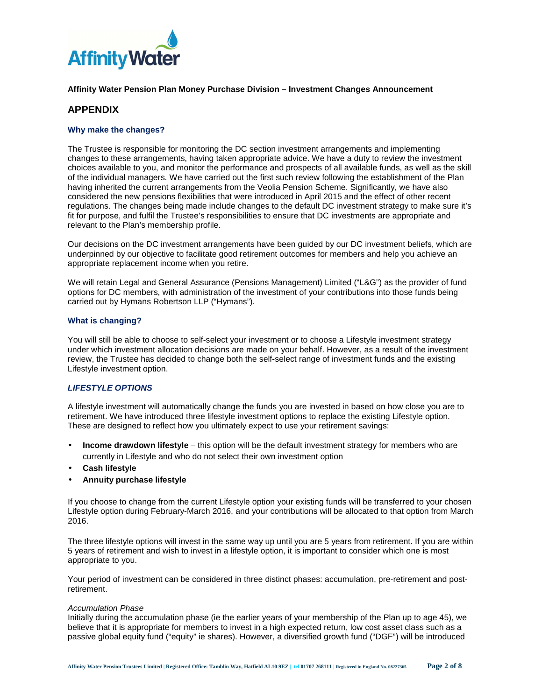

## **Affinity Water Pension Plan Money Purchase Division – Investment Changes Announcement**

# **APPENDIX**

## **Why make the changes?**

The Trustee is responsible for monitoring the DC section investment arrangements and implementing changes to these arrangements, having taken appropriate advice. We have a duty to review the investment choices available to you, and monitor the performance and prospects of all available funds, as well as the skill of the individual managers. We have carried out the first such review following the establishment of the Plan having inherited the current arrangements from the Veolia Pension Scheme. Significantly, we have also considered the new pensions flexibilities that were introduced in April 2015 and the effect of other recent regulations. The changes being made include changes to the default DC investment strategy to make sure it's fit for purpose, and fulfil the Trustee's responsibilities to ensure that DC investments are appropriate and relevant to the Plan's membership profile.

Our decisions on the DC investment arrangements have been guided by our DC investment beliefs, which are underpinned by our objective to facilitate good retirement outcomes for members and help you achieve an appropriate replacement income when you retire.

We will retain Legal and General Assurance (Pensions Management) Limited ("L&G") as the provider of fund options for DC members, with administration of the investment of your contributions into those funds being carried out by Hymans Robertson LLP ("Hymans").

## **What is changing?**

You will still be able to choose to self-select your investment or to choose a Lifestyle investment strategy under which investment allocation decisions are made on your behalf. However, as a result of the investment review, the Trustee has decided to change both the self-select range of investment funds and the existing Lifestyle investment option.

## **LIFESTYLE OPTIONS**

A lifestyle investment will automatically change the funds you are invested in based on how close you are to retirement. We have introduced three lifestyle investment options to replace the existing Lifestyle option. These are designed to reflect how you ultimately expect to use your retirement savings:

- **Income drawdown lifestyle** this option will be the default investment strategy for members who are currently in Lifestyle and who do not select their own investment option
- **Cash lifestyle**
- **Annuity purchase lifestyle**

If you choose to change from the current Lifestyle option your existing funds will be transferred to your chosen Lifestyle option during February-March 2016, and your contributions will be allocated to that option from March 2016.

The three lifestyle options will invest in the same way up until you are 5 years from retirement. If you are within 5 years of retirement and wish to invest in a lifestyle option, it is important to consider which one is most appropriate to you.

Your period of investment can be considered in three distinct phases: accumulation, pre-retirement and postretirement.

#### Accumulation Phase

Initially during the accumulation phase (ie the earlier years of your membership of the Plan up to age 45), we believe that it is appropriate for members to invest in a high expected return, low cost asset class such as a passive global equity fund ("equity" ie shares). However, a diversified growth fund ("DGF") will be introduced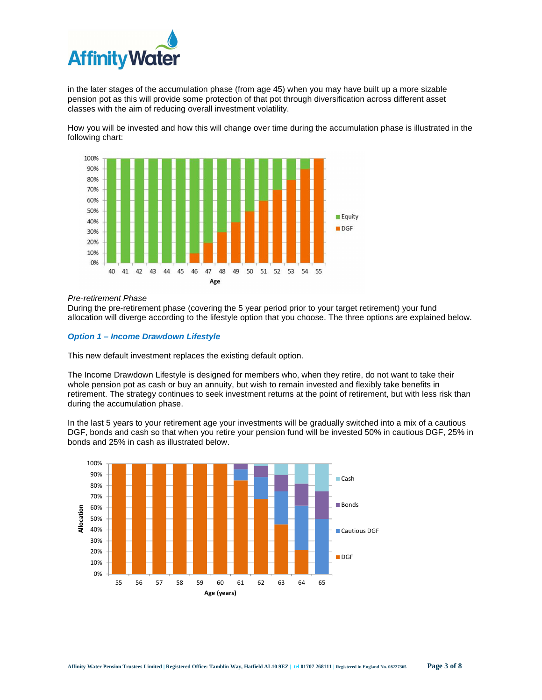

in the later stages of the accumulation phase (from age 45) when you may have built up a more sizable pension pot as this will provide some protection of that pot through diversification across different asset classes with the aim of reducing overall investment volatility.

How you will be invested and how this will change over time during the accumulation phase is illustrated in the following chart:



#### Pre-retirement Phase

During the pre-retirement phase (covering the 5 year period prior to your target retirement) your fund allocation will diverge according to the lifestyle option that you choose. The three options are explained below.

## **Option 1 – Income Drawdown Lifestyle**

This new default investment replaces the existing default option.

The Income Drawdown Lifestyle is designed for members who, when they retire, do not want to take their whole pension pot as cash or buy an annuity, but wish to remain invested and flexibly take benefits in retirement. The strategy continues to seek investment returns at the point of retirement, but with less risk than during the accumulation phase.

In the last 5 years to your retirement age your investments will be gradually switched into a mix of a cautious DGF, bonds and cash so that when you retire your pension fund will be invested 50% in cautious DGF, 25% in bonds and 25% in cash as illustrated below.

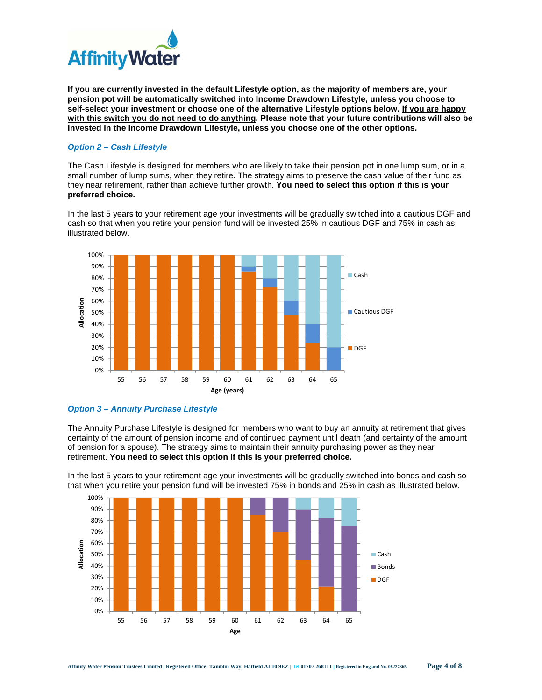

**If you are currently invested in the default Lifestyle option, as the majority of members are, your pension pot will be automatically switched into Income Drawdown Lifestyle, unless you choose to self-select your investment or choose one of the alternative Lifestyle options below. If you are happy with this switch you do not need to do anything. Please note that your future contributions will also be invested in the Income Drawdown Lifestyle, unless you choose one of the other options.** 

#### **Option 2 – Cash Lifestyle**

The Cash Lifestyle is designed for members who are likely to take their pension pot in one lump sum, or in a small number of lump sums, when they retire. The strategy aims to preserve the cash value of their fund as they near retirement, rather than achieve further growth. **You need to select this option if this is your preferred choice.** 

In the last 5 years to your retirement age your investments will be gradually switched into a cautious DGF and cash so that when you retire your pension fund will be invested 25% in cautious DGF and 75% in cash as illustrated below.



## **Option 3 – Annuity Purchase Lifestyle**

The Annuity Purchase Lifestyle is designed for members who want to buy an annuity at retirement that gives certainty of the amount of pension income and of continued payment until death (and certainty of the amount of pension for a spouse). The strategy aims to maintain their annuity purchasing power as they near retirement. **You need to select this option if this is your preferred choice.**

In the last 5 years to your retirement age your investments will be gradually switched into bonds and cash so that when you retire your pension fund will be invested 75% in bonds and 25% in cash as illustrated below.

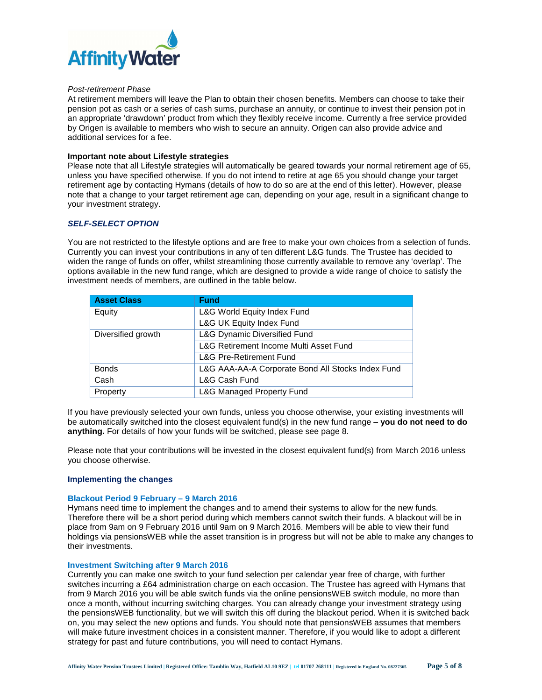

#### Post-retirement Phase

At retirement members will leave the Plan to obtain their chosen benefits. Members can choose to take their pension pot as cash or a series of cash sums, purchase an annuity, or continue to invest their pension pot in an appropriate 'drawdown' product from which they flexibly receive income. Currently a free service provided by Origen is available to members who wish to secure an annuity. Origen can also provide advice and additional services for a fee.

#### **Important note about Lifestyle strategies**

Please note that all Lifestyle strategies will automatically be geared towards your normal retirement age of 65, unless you have specified otherwise. If you do not intend to retire at age 65 you should change your target retirement age by contacting Hymans (details of how to do so are at the end of this letter). However, please note that a change to your target retirement age can, depending on your age, result in a significant change to your investment strategy.

## **SELF-SELECT OPTION**

You are not restricted to the lifestyle options and are free to make your own choices from a selection of funds. Currently you can invest your contributions in any of ten different L&G funds. The Trustee has decided to widen the range of funds on offer, whilst streamlining those currently available to remove any 'overlap'. The options available in the new fund range, which are designed to provide a wide range of choice to satisfy the investment needs of members, are outlined in the table below.

| <b>Asset Class</b> | <b>Fund</b>                                       |  |
|--------------------|---------------------------------------------------|--|
| Equity             | L&G World Equity Index Fund                       |  |
|                    | L&G UK Equity Index Fund                          |  |
| Diversified growth | <b>L&amp;G Dynamic Diversified Fund</b>           |  |
|                    | L&G Retirement Income Multi Asset Fund            |  |
|                    | <b>L&amp;G Pre-Retirement Fund</b>                |  |
| <b>Bonds</b>       | L&G AAA-AA-A Corporate Bond All Stocks Index Fund |  |
| Cash               | L&G Cash Fund                                     |  |
| Property           | <b>L&amp;G Managed Property Fund</b>              |  |

If you have previously selected your own funds, unless you choose otherwise, your existing investments will be automatically switched into the closest equivalent fund(s) in the new fund range – **you do not need to do anything.** For details of how your funds will be switched, please see page 8.

Please note that your contributions will be invested in the closest equivalent fund(s) from March 2016 unless you choose otherwise.

#### **Implementing the changes**

#### **Blackout Period 9 February – 9 March 2016**

Hymans need time to implement the changes and to amend their systems to allow for the new funds. Therefore there will be a short period during which members cannot switch their funds. A blackout will be in place from 9am on 9 February 2016 until 9am on 9 March 2016. Members will be able to view their fund holdings via pensionsWEB while the asset transition is in progress but will not be able to make any changes to their investments.

#### **Investment Switching after 9 March 2016**

Currently you can make one switch to your fund selection per calendar year free of charge, with further switches incurring a £64 administration charge on each occasion. The Trustee has agreed with Hymans that from 9 March 2016 you will be able switch funds via the online pensionsWEB switch module, no more than once a month, without incurring switching charges. You can already change your investment strategy using the pensionsWEB functionality, but we will switch this off during the blackout period. When it is switched back on, you may select the new options and funds. You should note that pensionsWEB assumes that members will make future investment choices in a consistent manner. Therefore, if you would like to adopt a different strategy for past and future contributions, you will need to contact Hymans.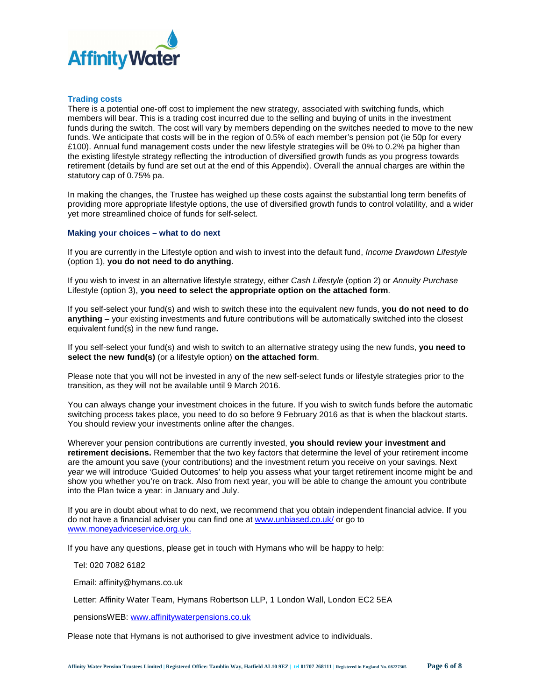

## **Trading costs**

There is a potential one-off cost to implement the new strategy, associated with switching funds, which members will bear. This is a trading cost incurred due to the selling and buying of units in the investment funds during the switch. The cost will vary by members depending on the switches needed to move to the new funds. We anticipate that costs will be in the region of 0.5% of each member's pension pot (ie 50p for every £100). Annual fund management costs under the new lifestyle strategies will be 0% to 0.2% pa higher than the existing lifestyle strategy reflecting the introduction of diversified growth funds as you progress towards retirement (details by fund are set out at the end of this Appendix). Overall the annual charges are within the statutory cap of 0.75% pa.

In making the changes, the Trustee has weighed up these costs against the substantial long term benefits of providing more appropriate lifestyle options, the use of diversified growth funds to control volatility, and a wider yet more streamlined choice of funds for self-select.

## **Making your choices – what to do next**

If you are currently in the Lifestyle option and wish to invest into the default fund, Income Drawdown Lifestyle (option 1), **you do not need to do anything**.

If you wish to invest in an alternative lifestyle strategy, either Cash Lifestyle (option 2) or Annuity Purchase Lifestyle (option 3), **you need to select the appropriate option on the attached form**.

If you self-select your fund(s) and wish to switch these into the equivalent new funds, **you do not need to do anything** – your existing investments and future contributions will be automatically switched into the closest equivalent fund(s) in the new fund range**.** 

If you self-select your fund(s) and wish to switch to an alternative strategy using the new funds, **you need to select the new fund(s)** (or a lifestyle option) **on the attached form**.

Please note that you will not be invested in any of the new self-select funds or lifestyle strategies prior to the transition, as they will not be available until 9 March 2016.

You can always change your investment choices in the future. If you wish to switch funds before the automatic switching process takes place, you need to do so before 9 February 2016 as that is when the blackout starts. You should review your investments online after the changes.

Wherever your pension contributions are currently invested, **you should review your investment and retirement decisions.** Remember that the two key factors that determine the level of your retirement income are the amount you save (your contributions) and the investment return you receive on your savings. Next year we will introduce 'Guided Outcomes' to help you assess what your target retirement income might be and show you whether you're on track. Also from next year, you will be able to change the amount you contribute into the Plan twice a year: in January and July.

If you are in doubt about what to do next, we recommend that you obtain independent financial advice. If you do not have a financial adviser you can find one at www.unbiased.co.uk/ or go to www.moneyadviceservice.org.uk.

If you have any questions, please get in touch with Hymans who will be happy to help:

Tel: 020 7082 6182

Email: affinity@hymans.co.uk

Letter: Affinity Water Team, Hymans Robertson LLP, 1 London Wall, London EC2 5EA

pensionsWEB: www.affinitywaterpensions.co.uk

Please note that Hymans is not authorised to give investment advice to individuals.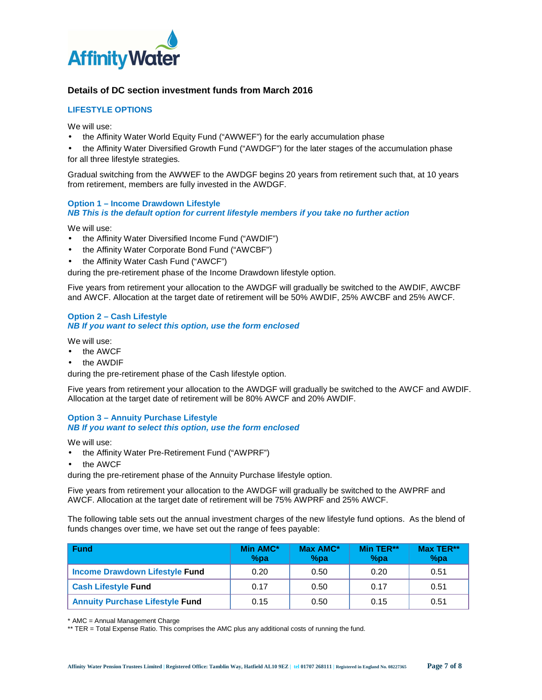

# **Details of DC section investment funds from March 2016**

# **LIFESTYLE OPTIONS**

We will use:

• the Affinity Water World Equity Fund ("AWWEF") for the early accumulation phase

• the Affinity Water Diversified Growth Fund ("AWDGF") for the later stages of the accumulation phase for all three lifestyle strategies.

Gradual switching from the AWWEF to the AWDGF begins 20 years from retirement such that, at 10 years from retirement, members are fully invested in the AWDGF.

## **Option 1 – Income Drawdown Lifestyle**

**NB This is the default option for current lifestyle members if you take no further action** 

We will use:

- the Affinity Water Diversified Income Fund ("AWDIF")
- the Affinity Water Corporate Bond Fund ("AWCBF")
- the Affinity Water Cash Fund ("AWCF")

during the pre-retirement phase of the Income Drawdown lifestyle option.

Five years from retirement your allocation to the AWDGF will gradually be switched to the AWDIF, AWCBF and AWCF. Allocation at the target date of retirement will be 50% AWDIF, 25% AWCBF and 25% AWCF.

# **Option 2 – Cash Lifestyle NB If you want to select this option, use the form enclosed**

We will use:

- the AWCF
- the AWDIF

during the pre-retirement phase of the Cash lifestyle option.

Five years from retirement your allocation to the AWDGF will gradually be switched to the AWCF and AWDIF. Allocation at the target date of retirement will be 80% AWCF and 20% AWDIF.

#### **Option 3 – Annuity Purchase Lifestyle NB If you want to select this option, use the form enclosed**

We will use:

- the Affinity Water Pre-Retirement Fund ("AWPRF")
- the AWCF

during the pre-retirement phase of the Annuity Purchase lifestyle option.

Five years from retirement your allocation to the AWDGF will gradually be switched to the AWPRF and AWCF. Allocation at the target date of retirement will be 75% AWPRF and 25% AWCF.

The following table sets out the annual investment charges of the new lifestyle fund options. As the blend of funds changes over time, we have set out the range of fees payable:

| <b>Fund</b>                            | Min AMC*<br>%pa | Max AMC*<br>%pa | Min TER**<br>%pa | Max TER**<br>%pa |
|----------------------------------------|-----------------|-----------------|------------------|------------------|
| <b>Income Drawdown Lifestyle Fund</b>  | 0.20            | 0.50            | 0.20             | 0.51             |
| <b>Cash Lifestyle Fund</b>             | 0.17            | 0.50            | 0.17             | 0.51             |
| <b>Annuity Purchase Lifestyle Fund</b> | 0.15            | 0.50            | 0.15             | 0.51             |

\* AMC = Annual Management Charge

\*\* TER = Total Expense Ratio. This comprises the AMC plus any additional costs of running the fund.